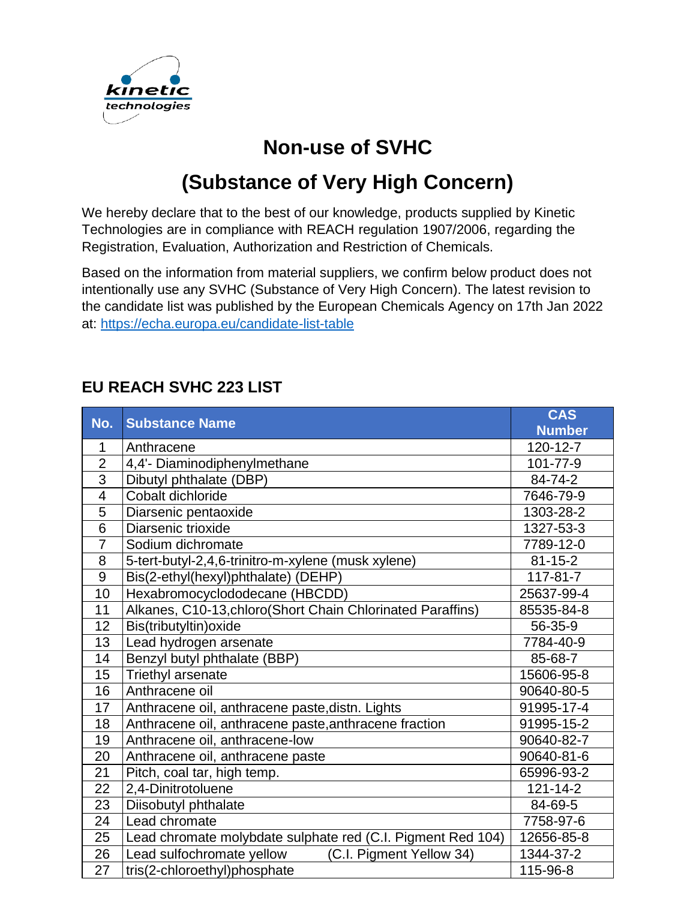

## **Non-use of SVHC**

## **(Substance of Very High Concern)**

We hereby declare that to the best of our knowledge, products supplied by Kinetic Technologies are in compliance with REACH regulation 1907/2006, regarding the Registration, Evaluation, Authorization and Restriction of Chemicals.

Based on the information from material suppliers, we confirm below product does not intentionally use any SVHC (Substance of Very High Concern). The latest revision to the candidate list was published by the European Chemicals Agency on 17th Jan 2022 at: <https://echa.europa.eu/candidate-list-table>

## **EU REACH SVHC 223 LIST**

| No.            | <b>Substance Name</b>                                       | <b>CAS</b>     |
|----------------|-------------------------------------------------------------|----------------|
|                |                                                             | <b>Number</b>  |
| 1              | Anthracene                                                  | 120-12-7       |
| $\overline{2}$ | 4,4'- Diaminodiphenylmethane                                | 101-77-9       |
| $\overline{3}$ | Dibutyl phthalate (DBP)                                     | 84-74-2        |
| $\overline{4}$ | Cobalt dichloride                                           | 7646-79-9      |
| 5              | Diarsenic pentaoxide                                        | 1303-28-2      |
| $\overline{6}$ | Diarsenic trioxide                                          | 1327-53-3      |
| $\overline{7}$ | Sodium dichromate                                           | 7789-12-0      |
| 8              | 5-tert-butyl-2,4,6-trinitro-m-xylene (musk xylene)          | $81 - 15 - 2$  |
| 9              | Bis(2-ethyl(hexyl)phthalate) (DEHP)                         | 117-81-7       |
| 10             | Hexabromocyclododecane (HBCDD)                              | 25637-99-4     |
| 11             | Alkanes, C10-13, chloro (Short Chain Chlorinated Paraffins) | 85535-84-8     |
| 12             | Bis(tributyltin) oxide                                      | 56-35-9        |
| 13             | Lead hydrogen arsenate                                      | 7784-40-9      |
| 14             | Benzyl butyl phthalate (BBP)                                | 85-68-7        |
| 15             | Triethyl arsenate                                           | 15606-95-8     |
| 16             | Anthracene oil                                              | 90640-80-5     |
| 17             | Anthracene oil, anthracene paste, distn. Lights             | 91995-17-4     |
| 18             | Anthracene oil, anthracene paste, anthracene fraction       | 91995-15-2     |
| 19             | Anthracene oil, anthracene-low                              | 90640-82-7     |
| 20             | Anthracene oil, anthracene paste                            | 90640-81-6     |
| 21             | Pitch, coal tar, high temp.                                 | 65996-93-2     |
| 22             | 2,4-Dinitrotoluene                                          | $121 - 14 - 2$ |
| 23             | Diisobutyl phthalate                                        | 84-69-5        |
| 24             | Lead chromate                                               | 7758-97-6      |
| 25             | Lead chromate molybdate sulphate red (C.I. Pigment Red 104) | 12656-85-8     |
| 26             | Lead sulfochromate yellow<br>(C.I. Pigment Yellow 34)       | 1344-37-2      |
| 27             | tris(2-chloroethyl)phosphate                                | 115-96-8       |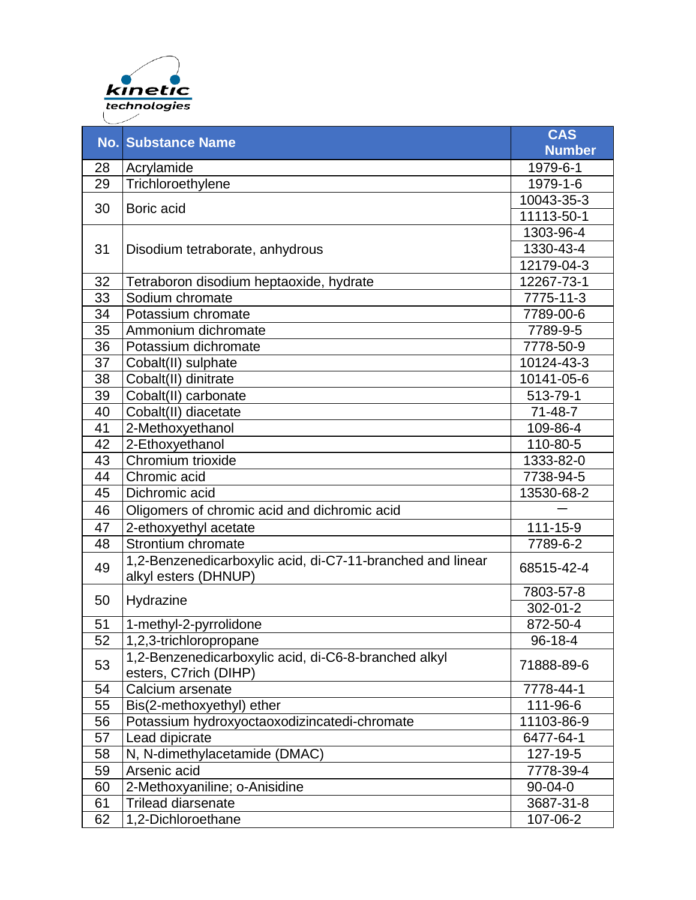

|    | <b>No. Substance Name</b>                                                          | <b>CAS</b>    |
|----|------------------------------------------------------------------------------------|---------------|
|    |                                                                                    | <b>Number</b> |
| 28 | Acrylamide                                                                         | 1979-6-1      |
| 29 | Trichloroethylene                                                                  | 1979-1-6      |
| 30 | Boric acid                                                                         | 10043-35-3    |
|    |                                                                                    | 11113-50-1    |
|    |                                                                                    | 1303-96-4     |
| 31 | Disodium tetraborate, anhydrous                                                    | 1330-43-4     |
|    |                                                                                    | 12179-04-3    |
| 32 | Tetraboron disodium heptaoxide, hydrate                                            | 12267-73-1    |
| 33 | Sodium chromate                                                                    | 7775-11-3     |
| 34 | Potassium chromate                                                                 | 7789-00-6     |
| 35 | Ammonium dichromate                                                                | 7789-9-5      |
| 36 | Potassium dichromate                                                               | 7778-50-9     |
| 37 | Cobalt(II) sulphate                                                                | 10124-43-3    |
| 38 | Cobalt(II) dinitrate                                                               | 10141-05-6    |
| 39 | Cobalt(II) carbonate                                                               | 513-79-1      |
| 40 | Cobalt(II) diacetate                                                               | $71 - 48 - 7$ |
| 41 | 2-Methoxyethanol                                                                   | 109-86-4      |
| 42 | 2-Ethoxyethanol                                                                    | 110-80-5      |
| 43 | Chromium trioxide                                                                  | 1333-82-0     |
| 44 | Chromic acid                                                                       | 7738-94-5     |
| 45 | Dichromic acid                                                                     | 13530-68-2    |
| 46 | Oligomers of chromic acid and dichromic acid                                       |               |
| 47 | 2-ethoxyethyl acetate                                                              | 111-15-9      |
| 48 | Strontium chromate                                                                 | 7789-6-2      |
| 49 | 1,2-Benzenedicarboxylic acid, di-C7-11-branched and linear<br>alkyl esters (DHNUP) | 68515-42-4    |
|    |                                                                                    | 7803-57-8     |
| 50 | Hydrazine                                                                          | 302-01-2      |
| 51 | 1-methyl-2-pyrrolidone                                                             | 872-50-4      |
| 52 | 1,2,3-trichloropropane                                                             | $96 - 18 - 4$ |
| 53 | 1,2-Benzenedicarboxylic acid, di-C6-8-branched alkyl<br>esters, C7rich (DIHP)      | 71888-89-6    |
| 54 | Calcium arsenate                                                                   | 7778-44-1     |
| 55 | Bis(2-methoxyethyl) ether                                                          | 111-96-6      |
| 56 | Potassium hydroxyoctaoxodizincatedi-chromate                                       | 11103-86-9    |
| 57 | Lead dipicrate                                                                     | 6477-64-1     |
| 58 | N, N-dimethylacetamide (DMAC)                                                      | 127-19-5      |
| 59 | Arsenic acid                                                                       | 7778-39-4     |
| 60 | 2-Methoxyaniline; o-Anisidine                                                      | $90 - 04 - 0$ |
| 61 | <b>Trilead diarsenate</b>                                                          | 3687-31-8     |
| 62 | 1,2-Dichloroethane                                                                 | 107-06-2      |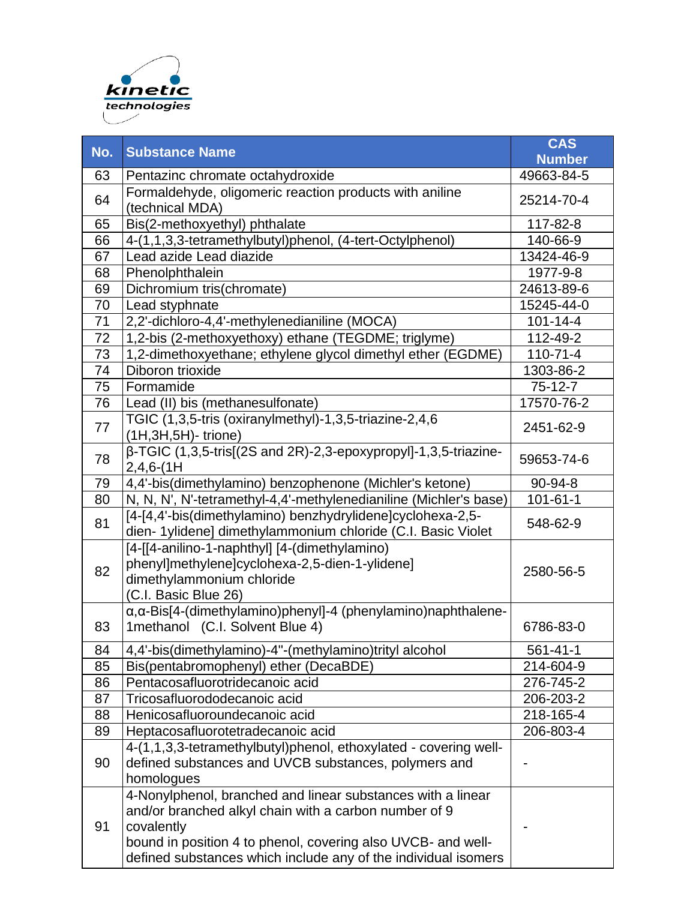

or a combination thereof

| No. | <b>Substance Name</b>                                                                                                                                                                                                                                                | <b>CAS</b>     |
|-----|----------------------------------------------------------------------------------------------------------------------------------------------------------------------------------------------------------------------------------------------------------------------|----------------|
|     |                                                                                                                                                                                                                                                                      | <b>Number</b>  |
| 63  | Pentazinc chromate octahydroxide                                                                                                                                                                                                                                     | 49663-84-5     |
| 64  | Formaldehyde, oligomeric reaction products with aniline<br>(technical MDA)                                                                                                                                                                                           | 25214-70-4     |
| 65  | Bis(2-methoxyethyl) phthalate                                                                                                                                                                                                                                        | 117-82-8       |
| 66  | 4-(1,1,3,3-tetramethylbutyl)phenol, (4-tert-Octylphenol)                                                                                                                                                                                                             | 140-66-9       |
| 67  | Lead azide Lead diazide                                                                                                                                                                                                                                              | 13424-46-9     |
| 68  | Phenolphthalein                                                                                                                                                                                                                                                      | 1977-9-8       |
| 69  | Dichromium tris(chromate)                                                                                                                                                                                                                                            | 24613-89-6     |
| 70  | Lead styphnate                                                                                                                                                                                                                                                       | 15245-44-0     |
| 71  | 2,2'-dichloro-4,4'-methylenedianiline (MOCA)                                                                                                                                                                                                                         | $101 - 14 - 4$ |
| 72  | 1,2-bis (2-methoxyethoxy) ethane (TEGDME; triglyme)                                                                                                                                                                                                                  | 112-49-2       |
| 73  | 1,2-dimethoxyethane; ethylene glycol dimethyl ether (EGDME)                                                                                                                                                                                                          | $110 - 71 - 4$ |
| 74  | Diboron trioxide                                                                                                                                                                                                                                                     | 1303-86-2      |
| 75  | Formamide                                                                                                                                                                                                                                                            | $75-12-7$      |
| 76  | Lead (II) bis (methanesulfonate)                                                                                                                                                                                                                                     | 17570-76-2     |
| 77  | TGIC (1,3,5-tris (oxiranylmethyl)-1,3,5-triazine-2,4,6<br>(1H, 3H, 5H) - trione)                                                                                                                                                                                     | 2451-62-9      |
| 78  | β-TGIC (1,3,5-tris[(2S and 2R)-2,3-epoxypropyl]-1,3,5-triazine-<br>$2,4,6-(1)$                                                                                                                                                                                       | 59653-74-6     |
| 79  | 4,4'-bis(dimethylamino) benzophenone (Michler's ketone)                                                                                                                                                                                                              | 90-94-8        |
| 80  | N, N, N', N'-tetramethyl-4,4'-methylenedianiline (Michler's base)                                                                                                                                                                                                    | $101 - 61 - 1$ |
| 81  | [4-[4,4'-bis(dimethylamino) benzhydrylidene]cyclohexa-2,5-<br>dien-1ylidene] dimethylammonium chloride (C.I. Basic Violet                                                                                                                                            | 548-62-9       |
| 82  | [4-[[4-anilino-1-naphthyl] [4-(dimethylamino)<br>phenyl]methylene]cyclohexa-2,5-dien-1-ylidene]<br>dimethylammonium chloride<br>(C.I. Basic Blue 26)                                                                                                                 | 2580-56-5      |
| 83  | α, α-Bis[4-(dimethylamino)phenyl]-4 (phenylamino)naphthalene-<br>1methanol (C.I. Solvent Blue 4)                                                                                                                                                                     | 6786-83-0      |
| 84  | 4,4'-bis(dimethylamino)-4"-(methylamino)trityl alcohol                                                                                                                                                                                                               | 561-41-1       |
| 85  | Bis(pentabromophenyl) ether (DecaBDE)                                                                                                                                                                                                                                | 214-604-9      |
| 86  | Pentacosafluorotridecanoic acid                                                                                                                                                                                                                                      | 276-745-2      |
| 87  | Tricosafluorododecanoic acid                                                                                                                                                                                                                                         | 206-203-2      |
| 88  | Henicosafluoroundecanoic acid                                                                                                                                                                                                                                        | 218-165-4      |
| 89  | Heptacosafluorotetradecanoic acid                                                                                                                                                                                                                                    | 206-803-4      |
| 90  | 4-(1,1,3,3-tetramethylbutyl)phenol, ethoxylated - covering well-<br>defined substances and UVCB substances, polymers and<br>homologues                                                                                                                               |                |
| 91  | 4-Nonylphenol, branched and linear substances with a linear<br>and/or branched alkyl chain with a carbon number of 9<br>covalently<br>bound in position 4 to phenol, covering also UVCB- and well-<br>defined substances which include any of the individual isomers |                |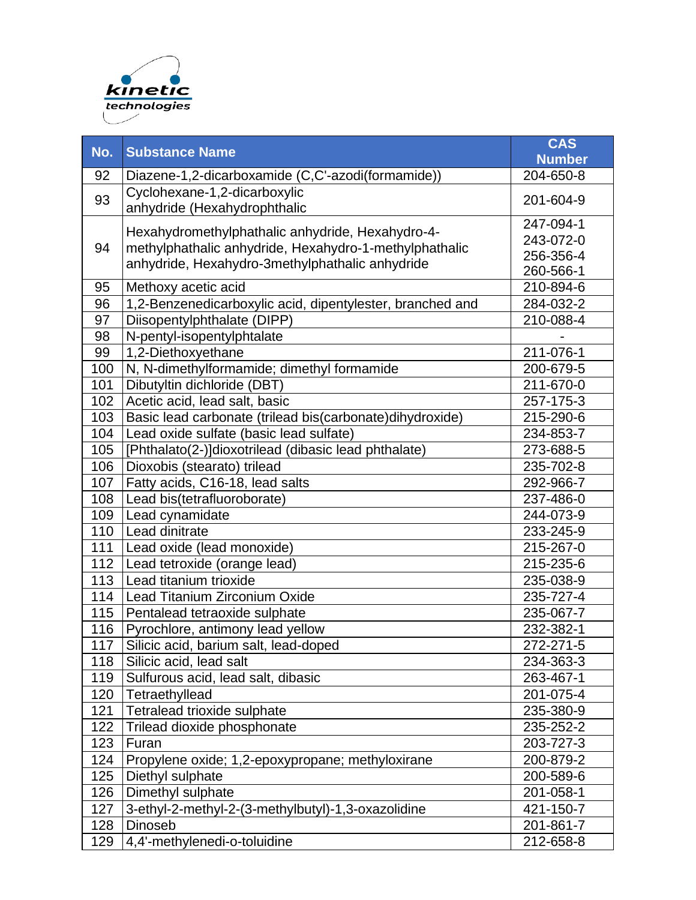

| No. | <b>Substance Name</b>                                                                                                                                         | <b>CAS</b><br><b>Number</b>                      |
|-----|---------------------------------------------------------------------------------------------------------------------------------------------------------------|--------------------------------------------------|
| 92  | Diazene-1,2-dicarboxamide (C,C'-azodi(formamide))                                                                                                             | 204-650-8                                        |
| 93  | Cyclohexane-1,2-dicarboxylic<br>anhydride (Hexahydrophthalic                                                                                                  | 201-604-9                                        |
| 94  | Hexahydromethylphathalic anhydride, Hexahydro-4-<br>methylphathalic anhydride, Hexahydro-1-methylphathalic<br>anhydride, Hexahydro-3methylphathalic anhydride | 247-094-1<br>243-072-0<br>256-356-4<br>260-566-1 |
| 95  | Methoxy acetic acid                                                                                                                                           | 210-894-6                                        |
| 96  | 1,2-Benzenedicarboxylic acid, dipentylester, branched and                                                                                                     | 284-032-2                                        |
| 97  | Diisopentylphthalate (DIPP)                                                                                                                                   | 210-088-4                                        |
| 98  | N-pentyl-isopentylphtalate                                                                                                                                    |                                                  |
| 99  | 1,2-Diethoxyethane                                                                                                                                            | 211-076-1                                        |
| 100 | N, N-dimethylformamide; dimethyl formamide                                                                                                                    | 200-679-5                                        |
| 101 | Dibutyltin dichloride (DBT)                                                                                                                                   | 211-670-0                                        |
| 102 | Acetic acid, lead salt, basic                                                                                                                                 | 257-175-3                                        |
| 103 | Basic lead carbonate (trilead bis(carbonate)dihydroxide)                                                                                                      | 215-290-6                                        |
| 104 | Lead oxide sulfate (basic lead sulfate)                                                                                                                       | 234-853-7                                        |
| 105 | [Phthalato(2-)]dioxotrilead (dibasic lead phthalate)                                                                                                          | 273-688-5                                        |
| 106 | Dioxobis (stearato) trilead                                                                                                                                   | 235-702-8                                        |
| 107 | Fatty acids, C16-18, lead salts                                                                                                                               | 292-966-7                                        |
| 108 | Lead bis(tetrafluoroborate)                                                                                                                                   | 237-486-0                                        |
| 109 | Lead cynamidate                                                                                                                                               | 244-073-9                                        |
| 110 | Lead dinitrate                                                                                                                                                | 233-245-9                                        |
| 111 | Lead oxide (lead monoxide)                                                                                                                                    | 215-267-0                                        |
| 112 | Lead tetroxide (orange lead)                                                                                                                                  | 215-235-6                                        |
| 113 | Lead titanium trioxide                                                                                                                                        | 235-038-9                                        |
| 114 | Lead Titanium Zirconium Oxide                                                                                                                                 | 235-727-4                                        |
| 115 | Pentalead tetraoxide sulphate                                                                                                                                 | 235-067-7                                        |
| 116 | Pyrochlore, antimony lead yellow                                                                                                                              | 232-382-1                                        |
| 117 | Silicic acid, barium salt, lead-doped                                                                                                                         | 272-271-5                                        |
| 118 | Silicic acid, lead salt                                                                                                                                       | 234-363-3                                        |
| 119 | Sulfurous acid, lead salt, dibasic                                                                                                                            | 263-467-1                                        |
| 120 | Tetraethyllead                                                                                                                                                | 201-075-4                                        |
| 121 | Tetralead trioxide sulphate                                                                                                                                   | 235-380-9                                        |
| 122 | Trilead dioxide phosphonate                                                                                                                                   | 235-252-2                                        |
| 123 | Furan                                                                                                                                                         | 203-727-3                                        |
| 124 | Propylene oxide; 1,2-epoxypropane; methyloxirane                                                                                                              | 200-879-2                                        |
| 125 | Diethyl sulphate                                                                                                                                              | 200-589-6                                        |
| 126 | Dimethyl sulphate                                                                                                                                             | 201-058-1                                        |
| 127 | 3-ethyl-2-methyl-2-(3-methylbutyl)-1,3-oxazolidine                                                                                                            | 421-150-7                                        |
| 128 | Dinoseb                                                                                                                                                       | 201-861-7                                        |
| 129 | 4,4'-methylenedi-o-toluidine                                                                                                                                  | 212-658-8                                        |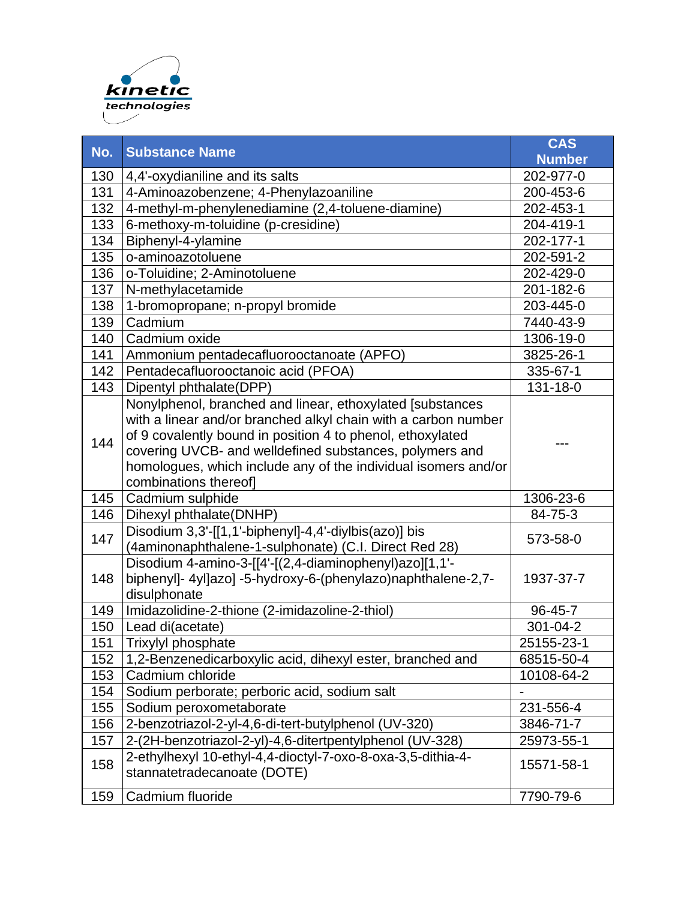

| No. | <b>Substance Name</b>                                                                      | <b>CAS</b>    |
|-----|--------------------------------------------------------------------------------------------|---------------|
|     |                                                                                            | <b>Number</b> |
| 130 | 4,4'-oxydianiline and its salts                                                            | 202-977-0     |
| 131 | 4-Aminoazobenzene; 4-Phenylazoaniline                                                      | 200-453-6     |
| 132 | 4-methyl-m-phenylenediamine (2,4-toluene-diamine)                                          | 202-453-1     |
| 133 | 6-methoxy-m-toluidine (p-cresidine)                                                        | 204-419-1     |
| 134 | Biphenyl-4-ylamine                                                                         | 202-177-1     |
| 135 | o-aminoazotoluene                                                                          | 202-591-2     |
| 136 | o-Toluidine; 2-Aminotoluene                                                                | 202-429-0     |
| 137 | N-methylacetamide                                                                          | 201-182-6     |
| 138 | 1-bromopropane; n-propyl bromide                                                           | 203-445-0     |
| 139 | Cadmium                                                                                    | 7440-43-9     |
| 140 | Cadmium oxide                                                                              | 1306-19-0     |
| 141 | Ammonium pentadecafluorooctanoate (APFO)                                                   | 3825-26-1     |
| 142 | Pentadecafluorooctanoic acid (PFOA)                                                        | 335-67-1      |
| 143 | Dipentyl phthalate(DPP)                                                                    | 131-18-0      |
|     | Nonylphenol, branched and linear, ethoxylated [substances                                  |               |
|     | with a linear and/or branched alkyl chain with a carbon number                             |               |
| 144 | of 9 covalently bound in position 4 to phenol, ethoxylated                                 |               |
|     | covering UVCB- and welldefined substances, polymers and                                    |               |
|     | homologues, which include any of the individual isomers and/or                             |               |
|     | combinations thereof]                                                                      |               |
| 145 | Cadmium sulphide                                                                           | 1306-23-6     |
| 146 | Dihexyl phthalate(DNHP)                                                                    | 84-75-3       |
| 147 | Disodium 3,3'-[[1,1'-biphenyl]-4,4'-diylbis(azo)] bis                                      | 573-58-0      |
|     | (4aminonaphthalene-1-sulphonate) (C.I. Direct Red 28)                                      |               |
|     | Disodium 4-amino-3-[[4'-[(2,4-diaminophenyl)azo][1,1'-                                     |               |
| 148 | biphenyl]- 4yl]azo] -5-hydroxy-6-(phenylazo)naphthalene-2,7-                               | 1937-37-7     |
|     | disulphonate                                                                               |               |
| 149 | Imidazolidine-2-thione (2-imidazoline-2-thiol)                                             | 96-45-7       |
| 150 | Lead di(acetate)                                                                           | 301-04-2      |
| 151 | <b>Trixylyl phosphate</b>                                                                  | 25155-23-1    |
| 152 | 1,2-Benzenedicarboxylic acid, dihexyl ester, branched and                                  | 68515-50-4    |
| 153 | Cadmium chloride                                                                           | 10108-64-2    |
| 154 | Sodium perborate; perboric acid, sodium salt                                               |               |
| 155 | Sodium peroxometaborate                                                                    | 231-556-4     |
| 156 | 2-benzotriazol-2-yl-4,6-di-tert-butylphenol (UV-320)                                       | 3846-71-7     |
| 157 | 2-(2H-benzotriazol-2-yl)-4,6-ditertpentylphenol (UV-328)                                   | 25973-55-1    |
| 158 | 2-ethylhexyl 10-ethyl-4,4-dioctyl-7-oxo-8-oxa-3,5-dithia-4-<br>stannatetradecanoate (DOTE) | 15571-58-1    |
| 159 | Cadmium fluoride                                                                           | 7790-79-6     |
|     |                                                                                            |               |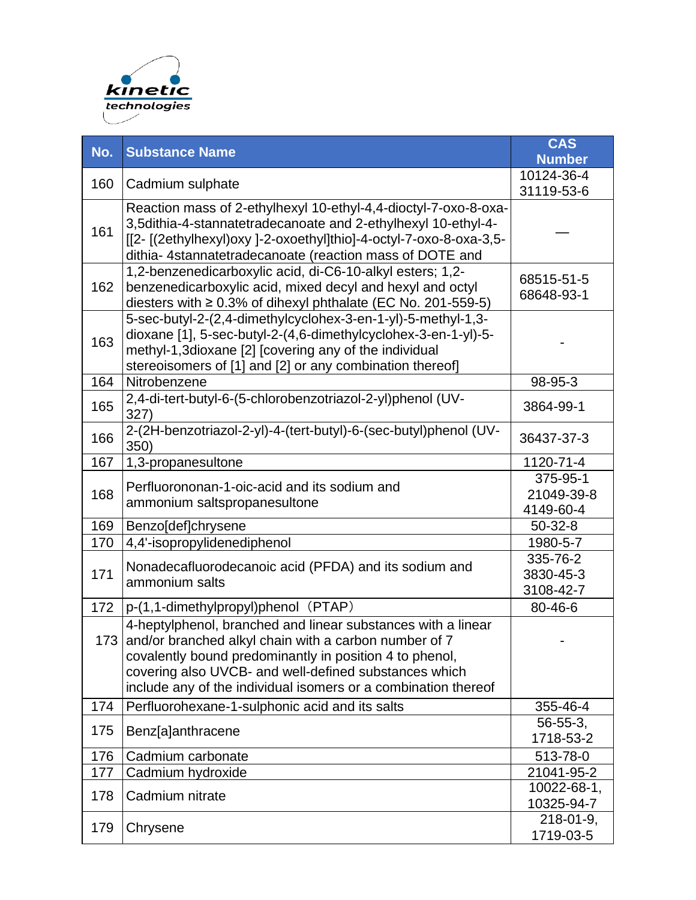

| No. | <b>Substance Name</b>                                                                                                                                                                                                                                                                                           | <b>CAS</b><br><b>Number</b>         |
|-----|-----------------------------------------------------------------------------------------------------------------------------------------------------------------------------------------------------------------------------------------------------------------------------------------------------------------|-------------------------------------|
| 160 | Cadmium sulphate                                                                                                                                                                                                                                                                                                | 10124-36-4<br>31119-53-6            |
| 161 | Reaction mass of 2-ethylhexyl 10-ethyl-4,4-dioctyl-7-oxo-8-oxa-<br>3,5dithia-4-stannatetradecanoate and 2-ethylhexyl 10-ethyl-4-<br>[[2- [(2ethylhexyl)oxy ]-2-oxoethyl]thio]-4-octyl-7-oxo-8-oxa-3,5-<br>dithia- 4stannatetradecanoate (reaction mass of DOTE and                                              |                                     |
| 162 | 1,2-benzenedicarboxylic acid, di-C6-10-alkyl esters; 1,2-<br>benzenedicarboxylic acid, mixed decyl and hexyl and octyl<br>diesters with $\geq 0.3\%$ of dihexyl phthalate (EC No. 201-559-5)                                                                                                                    | 68515-51-5<br>68648-93-1            |
| 163 | 5-sec-butyl-2-(2,4-dimethylcyclohex-3-en-1-yl)-5-methyl-1,3-<br>dioxane [1], 5-sec-butyl-2-(4,6-dimethylcyclohex-3-en-1-yl)-5-<br>methyl-1,3dioxane [2] [covering any of the individual<br>stereoisomers of [1] and [2] or any combination thereof]                                                             |                                     |
| 164 | Nitrobenzene                                                                                                                                                                                                                                                                                                    | 98-95-3                             |
| 165 | 2,4-di-tert-butyl-6-(5-chlorobenzotriazol-2-yl)phenol (UV-<br>327)                                                                                                                                                                                                                                              | 3864-99-1                           |
| 166 | 2-(2H-benzotriazol-2-yl)-4-(tert-butyl)-6-(sec-butyl)phenol (UV-<br>350)                                                                                                                                                                                                                                        | 36437-37-3                          |
| 167 | 1,3-propanesultone                                                                                                                                                                                                                                                                                              | 1120-71-4                           |
| 168 | Perfluorononan-1-oic-acid and its sodium and<br>ammonium saltspropanesultone                                                                                                                                                                                                                                    | 375-95-1<br>21049-39-8<br>4149-60-4 |
| 169 | Benzo[def]chrysene                                                                                                                                                                                                                                                                                              | $50-32-8$                           |
| 170 | 4,4'-isopropylidenediphenol                                                                                                                                                                                                                                                                                     | 1980-5-7                            |
| 171 | Nonadecafluorodecanoic acid (PFDA) and its sodium and<br>ammonium salts                                                                                                                                                                                                                                         | 335-76-2<br>3830-45-3<br>3108-42-7  |
| 172 | p-(1,1-dimethylpropyl)phenol (PTAP)                                                                                                                                                                                                                                                                             | 80-46-6                             |
|     | 4-heptylphenol, branched and linear substances with a linear<br>173 and/or branched alkyl chain with a carbon number of 7<br>covalently bound predominantly in position 4 to phenol,<br>covering also UVCB- and well-defined substances which<br>include any of the individual isomers or a combination thereof |                                     |
| 174 | Perfluorohexane-1-sulphonic acid and its salts                                                                                                                                                                                                                                                                  | 355-46-4                            |
| 175 | Benz[a]anthracene                                                                                                                                                                                                                                                                                               | $56 - 55 - 3$<br>1718-53-2          |
| 176 | Cadmium carbonate                                                                                                                                                                                                                                                                                               | 513-78-0                            |
| 177 | Cadmium hydroxide                                                                                                                                                                                                                                                                                               | 21041-95-2                          |
| 178 | Cadmium nitrate                                                                                                                                                                                                                                                                                                 | 10022-68-1,<br>10325-94-7           |
| 179 | Chrysene                                                                                                                                                                                                                                                                                                        | $218 - 01 - 9$ ,<br>1719-03-5       |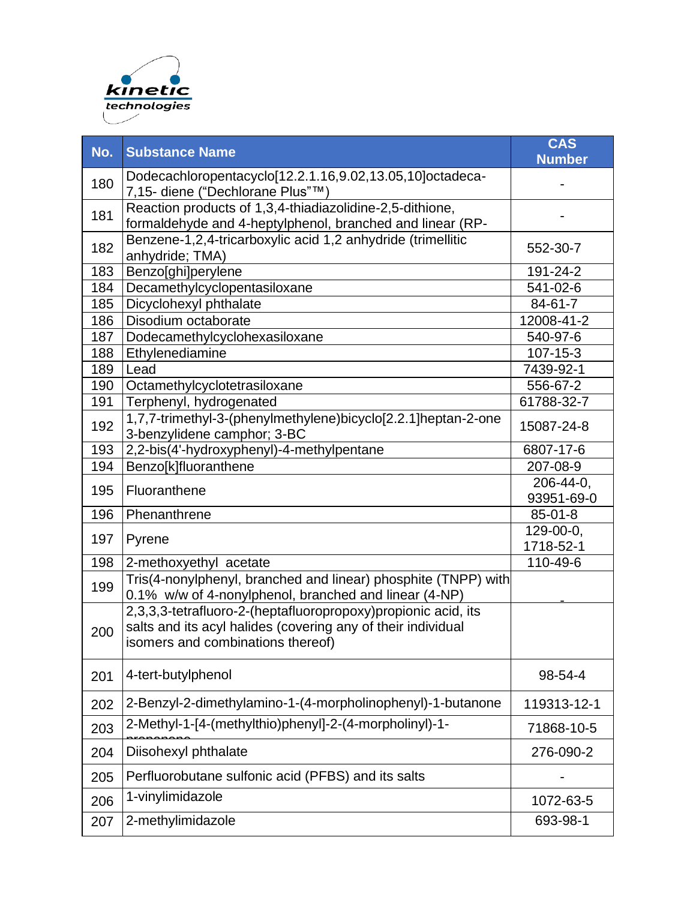

| No. | <b>Substance Name</b>                                                                                                                                              | <b>CAS</b><br><b>Number</b> |
|-----|--------------------------------------------------------------------------------------------------------------------------------------------------------------------|-----------------------------|
| 180 | Dodecachloropentacyclo[12.2.1.16,9.02,13.05,10]octadeca-<br>7,15- diene ("Dechlorane Plus"™)                                                                       |                             |
| 181 | Reaction products of 1,3,4-thiadiazolidine-2,5-dithione,<br>formaldehyde and 4-heptylphenol, branched and linear (RP-                                              |                             |
| 182 | Benzene-1,2,4-tricarboxylic acid 1,2 anhydride (trimellitic<br>anhydride; TMA)                                                                                     | 552-30-7                    |
| 183 | Benzo[ghi]perylene                                                                                                                                                 | 191-24-2                    |
| 184 | Decamethylcyclopentasiloxane                                                                                                                                       | 541-02-6                    |
| 185 | Dicyclohexyl phthalate                                                                                                                                             | $84 - 61 - 7$               |
| 186 | Disodium octaborate                                                                                                                                                | 12008-41-2                  |
| 187 | Dodecamethylcyclohexasiloxane                                                                                                                                      | 540-97-6                    |
| 188 | Ethylenediamine                                                                                                                                                    | 107-15-3                    |
| 189 | Lead                                                                                                                                                               | 7439-92-1                   |
| 190 | Octamethylcyclotetrasiloxane                                                                                                                                       | 556-67-2                    |
| 191 | Terphenyl, hydrogenated                                                                                                                                            | 61788-32-7                  |
| 192 | 1,7,7-trimethyl-3-(phenylmethylene)bicyclo[2.2.1]heptan-2-one<br>3-benzylidene camphor; 3-BC                                                                       | 15087-24-8                  |
| 193 | 2,2-bis(4'-hydroxyphenyl)-4-methylpentane                                                                                                                          | 6807-17-6                   |
| 194 | Benzo[k]fluoranthene                                                                                                                                               | 207-08-9                    |
| 195 | Fluoranthene                                                                                                                                                       | 206-44-0,<br>93951-69-0     |
| 196 | Phenanthrene                                                                                                                                                       | $85 - 01 - 8$               |
|     |                                                                                                                                                                    | 129-00-0,                   |
| 197 | Pyrene                                                                                                                                                             | 1718-52-1                   |
| 198 | 2-methoxyethyl acetate                                                                                                                                             | 110-49-6                    |
| 199 | Tris(4-nonylphenyl, branched and linear) phosphite (TNPP) with<br>0.1% w/w of 4-nonylphenol, branched and linear (4-NP)                                            |                             |
| 200 | 2,3,3,3-tetrafluoro-2-(heptafluoropropoxy)propionic acid, its<br>salts and its acyl halides (covering any of their individual<br>isomers and combinations thereof) |                             |
| 201 | 4-tert-butylphenol                                                                                                                                                 | 98-54-4                     |
| 202 | 2-Benzyl-2-dimethylamino-1-(4-morpholinophenyl)-1-butanone                                                                                                         | 119313-12-1                 |
| 203 | 2-Methyl-1-[4-(methylthio)phenyl]-2-(4-morpholinyl)-1-                                                                                                             | 71868-10-5                  |
| 204 | Diisohexyl phthalate                                                                                                                                               | 276-090-2                   |
| 205 | Perfluorobutane sulfonic acid (PFBS) and its salts                                                                                                                 |                             |
| 206 | 1-vinylimidazole                                                                                                                                                   | 1072-63-5                   |
| 207 | 2-methylimidazole                                                                                                                                                  | 693-98-1                    |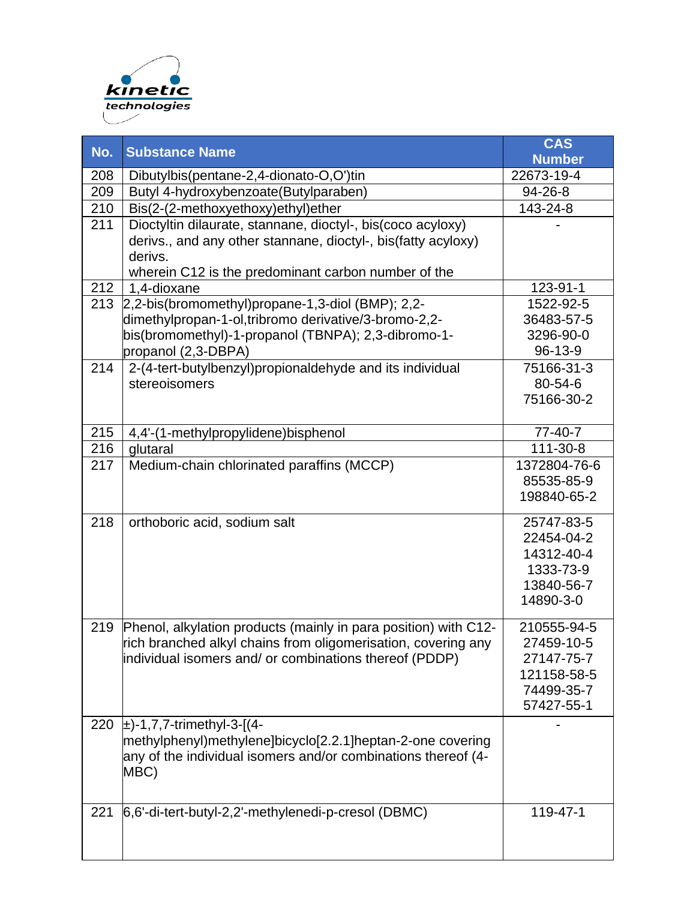

| No.               | <b>Substance Name</b>                                                     | <b>CAS</b><br><b>Number</b> |
|-------------------|---------------------------------------------------------------------------|-----------------------------|
| 208               | Dibutylbis(pentane-2,4-dionato-O,O')tin                                   | 22673-19-4                  |
| 209               | Butyl 4-hydroxybenzoate(Butylparaben)                                     | 94-26-8                     |
| 210               | Bis(2-(2-methoxyethoxy)ethyl)ether                                        | 143-24-8                    |
| 211               | Dioctyltin dilaurate, stannane, dioctyl-, bis(coco acyloxy)               |                             |
|                   | derivs., and any other stannane, dioctyl-, bis(fatty acyloxy)             |                             |
|                   | derivs.                                                                   |                             |
|                   | wherein C12 is the predominant carbon number of the                       |                             |
| 212               | 1,4-dioxane                                                               | 123-91-1                    |
| $\overline{2}$ 13 | 2,2-bis(bromomethyl)propane-1,3-diol (BMP); 2,2-                          | 1522-92-5                   |
|                   | dimethylpropan-1-ol,tribromo derivative/3-bromo-2,2-                      | 36483-57-5                  |
|                   | bis(bromomethyl)-1-propanol (TBNPA); 2,3-dibromo-1-                       | 3296-90-0                   |
|                   | propanol (2,3-DBPA)                                                       | 96-13-9                     |
| 214               | 2-(4-tert-butylbenzyl)propionaldehyde and its individual<br>stereoisomers | 75166-31-3<br>80-54-6       |
|                   |                                                                           | 75166-30-2                  |
|                   |                                                                           |                             |
| 215               | 4,4'-(1-methylpropylidene)bisphenol                                       | 77-40-7                     |
| 216               | glutaral                                                                  | 111-30-8                    |
| 217               | Medium-chain chlorinated paraffins (MCCP)                                 | 1372804-76-6                |
|                   |                                                                           | 85535-85-9                  |
|                   |                                                                           | 198840-65-2                 |
| 218               | orthoboric acid, sodium salt                                              | 25747-83-5                  |
|                   |                                                                           | 22454-04-2                  |
|                   |                                                                           | 14312-40-4                  |
|                   |                                                                           | 1333-73-9                   |
|                   |                                                                           | 13840-56-7                  |
|                   |                                                                           | 14890-3-0                   |
| 219               | Phenol, alkylation products (mainly in para position) with C12-           | 210555-94-5                 |
|                   | rich branched alkyl chains from oligomerisation, covering any             | 27459-10-5                  |
|                   | individual isomers and/ or combinations thereof (PDDP)                    | 27147-75-7                  |
|                   |                                                                           | 121158-58-5                 |
|                   |                                                                           | 74499-35-7                  |
|                   |                                                                           | 57427-55-1                  |
| 220               | $\pm$ )-1,7,7-trimethyl-3-[(4-                                            |                             |
|                   | methylphenyl)methylene]bicyclo[2.2.1]heptan-2-one covering                |                             |
|                   | any of the individual isomers and/or combinations thereof (4-<br>MBC)     |                             |
|                   |                                                                           |                             |
|                   |                                                                           |                             |
| 221               | 6,6'-di-tert-butyl-2,2'-methylenedi-p-cresol (DBMC)                       | 119-47-1                    |
|                   |                                                                           |                             |
|                   |                                                                           |                             |